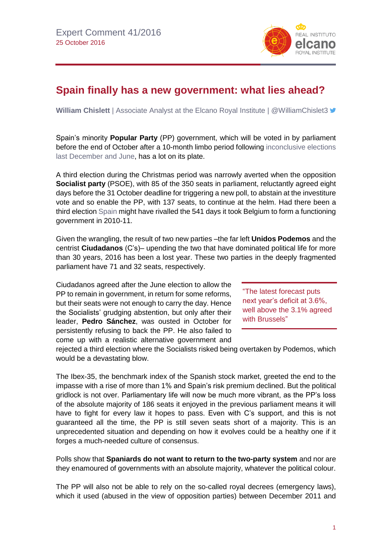

## **Spain finally has a new government: what lies ahead?**

**William Chislett** | Associate Analyst at the Elcano Royal Institute | @WilliamChislet3 **■** 

Spain's minority **Popular Party** (PP) government, which will be voted in by parliament before the end of October after a 10-month limbo period following [inconclusive elections](http://www.realinstitutoelcano.org/wps/portal/web/rielcano_en/contenido?WCM_GLOBAL_CONTEXT=/elcano/elcano_in/zonas_in/spanishforeignpolicy/commentary-chislett-spain-repeat-elections-pp-stronger-position-deadlock-remains)  [last December and June,](http://www.realinstitutoelcano.org/wps/portal/web/rielcano_en/contenido?WCM_GLOBAL_CONTEXT=/elcano/elcano_in/zonas_in/spanishforeignpolicy/commentary-chislett-spain-repeat-elections-pp-stronger-position-deadlock-remains) has a lot on its plate.

A third election during the Christmas period was narrowly averted when the opposition **Socialist party** (PSOE), with 85 of the 350 seats in parliament, reluctantly agreed eight days before the 31 October deadline for triggering a new poll, to abstain at the investiture vote and so enable the PP, with 137 seats, to continue at the helm. Had there been a third electio[n Spain](http://www.realinstitutoelcano.org/wps/portal/web/rielcano_en/publications/inside-spain/) might have rivalled the 541 days it took Belgium to form a functioning government in 2010-11.

Given the wrangling, the result of two new parties –the far left **Unidos Podemos** and the centrist **Ciudadanos** (C's)– upending the two that have dominated political life for more than 30 years, 2016 has been a lost year. These two parties in the deeply fragmented parliament have 71 and 32 seats, respectively.

Ciudadanos agreed after the June election to allow the PP to remain in government, in return for some reforms, but their seats were not enough to carry the day. Hence the Socialists' grudging abstention, but only after their leader, **Pedro Sánchez**, was ousted in October for persistently refusing to back the PP. He also failed to come up with a realistic alternative government and

"The latest forecast puts next year's deficit at 3.6%, well above the 3.1% agreed with Brussels"

rejected a third election where the Socialists risked being overtaken by Podemos, which would be a devastating blow.

The Ibex-35, the benchmark index of the Spanish stock market, greeted the end to the impasse with a rise of more than 1% and Spain's risk premium declined. But the political gridlock is not over. Parliamentary life will now be much more vibrant, as the PP's loss of the absolute majority of 186 seats it enjoyed in the previous parliament means it will have to fight for every law it hopes to pass. Even with C's support, and this is not guaranteed all the time, the PP is still seven seats short of a majority. This is an unprecedented situation and depending on how it evolves could be a healthy one if it forges a much-needed culture of consensus.

Polls show that **Spaniards do not want to return to the two-party system** and nor are they enamoured of governments with an absolute majority, whatever the political colour.

The PP will also not be able to rely on the so-called royal decrees (emergency laws), which it used (abused in the view of opposition parties) between December 2011 and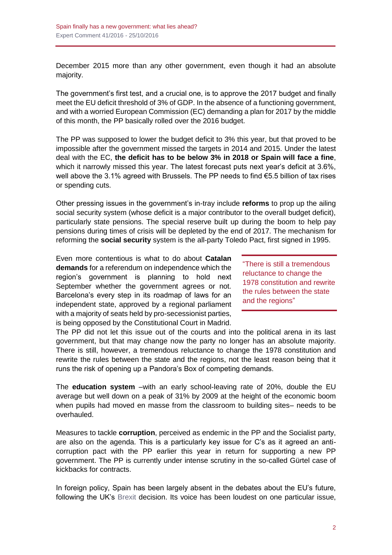December 2015 more than any other government, even though it had an absolute majority.

The government's first test, and a crucial one, is to approve the 2017 budget and finally meet the EU deficit threshold of 3% of GDP. In the absence of a functioning government, and with a worried European Commission (EC) demanding a plan for 2017 by the middle of this month, the PP basically rolled over the 2016 budget.

The PP was supposed to lower the budget deficit to 3% this year, but that proved to be impossible after the government missed the targets in 2014 and 2015. Under the latest deal with the EC, **the deficit has to be below 3% in 2018 or Spain will face a fine**, which it narrowly missed this year. The latest forecast puts next year's deficit at 3.6%, well above the 3.1% agreed with Brussels. The PP needs to find €5.5 billion of tax rises or spending cuts.

Other pressing issues in the government's in-tray include **reforms** to prop up the ailing social security system (whose deficit is a major contributor to the overall budget deficit), particularly state pensions. The special reserve built up during the boom to help pay pensions during times of crisis will be depleted by the end of 2017. The mechanism for reforming the **social security** system is the all-party Toledo Pact, first signed in 1995.

Even more contentious is what to do about **Catalan demands** for a referendum on independence which the region's government is planning to hold next September whether the government agrees or not. Barcelona's every step in its roadmap of laws for an independent state, approved by a regional parliament with a majority of seats held by pro-secessionist parties, is being opposed by the Constitutional Court in Madrid.

"There is still a tremendous reluctance to change the 1978 constitution and rewrite the rules between the state and the regions"

The PP did not let this issue out of the courts and into the political arena in its last government, but that may change now the party no longer has an absolute majority. There is still, however, a tremendous reluctance to change the 1978 constitution and rewrite the rules between the state and the regions, not the least reason being that it runs the risk of opening up a Pandora's Box of competing demands.

The **education system** –with an early school-leaving rate of 20%, double the EU average but well down on a peak of 31% by 2009 at the height of the economic boom when pupils had moved en masse from the classroom to building sites– needs to be overhauled.

Measures to tackle **corruption**, perceived as endemic in the PP and the Socialist party, are also on the agenda. This is a particularly key issue for C's as it agreed an anticorruption pact with the PP earlier this year in return for supporting a new PP government. The PP is currently under intense scrutiny in the so-called Gürtel case of kickbacks for contracts.

In foreign policy. Spain has been largely absent in the debates about the EU's future, following the UK's [Brexit](http://www.realinstitutoelcano.org/especiales/brexit) decision. Its voice has been loudest on one particular issue,